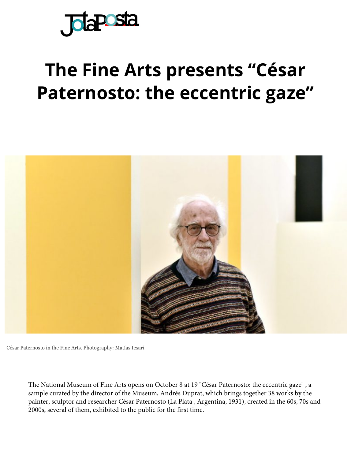

## **The Fine Arts presents "César [Paterno](https://translate.googleusercontent.com/translate_c?depth=1&hl=en&prev=search&rurl=translate.google.com&sl=es&sp=nmt4&u=https://www.jotaposta.com.ar/&xid=17259,15700022,15700186,15700190,15700256,15700259,15700262,15700265,15700271&usg=ALkJrhjA0VBPDzTaxLnjHubQiFGjAorisg)sto: the eccentric gaze"**



César Paternosto in the Fine Arts. Photography: Matías Iesari

The National Museum of Fine Arts opens on October 8 at 19 "César Paternosto: the eccentric gaze" , a sample curated by the director of the Museum, Andrés Duprat, which brings together 38 works by the painter, sculptor and researcher César Paternosto (La Plata , Argentina, 1931), created in the 60s, 70s and 2000s, several of them, exhibited to the public for the first time.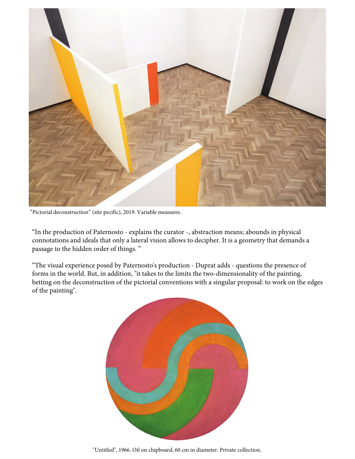

"Pictorial deconstruction" (site pecific), 2019. Variable measures.

"In the production of Paternosto - explains the curator -, abstraction means; abounds in physical connotations and ideals that only a lateral vision allows to decipher. It is a geometry that demands a passage to the hidden order of things. "

"The visual experience posed by Paternosto's production - Duprat adds - questions the presence of forms in the world. But, in addition, "it takes to the limits the two-dimensionality of the painting, betting on the deconstruction of the pictorial conventions with a singular proposal: to work on the edges of the painting".



"Untitled", 1966. Oil on chipboard, 60 cm in diameter. Private collection.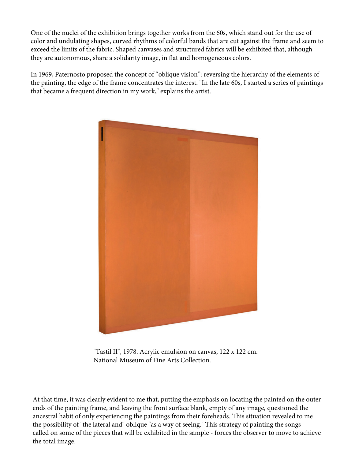One of the nuclei of the exhibition brings together works from the 60s, which stand out for the use of color and undulating shapes, curved rhythms of colorful bands that are cut against the frame and seem to exceed the limits of the fabric. Shaped canvases and structured fabrics will be exhibited that, although they are autonomous, share a solidarity image, in flat and homogeneous colors.

In 1969, Paternosto proposed the concept of "oblique vision": reversing the hierarchy of the elements of the painting, the edge of the frame concentrates the interest. "In the late 60s, I started a series of paintings that became a frequent direction in my work," explains the artist.



"Tastil II", 1978. Acrylic emulsion on canvas, 122 x 122 cm. National Museum of Fine Arts Collection.

At that time, it was clearly evident to me that, putting the emphasis on locating the painted on the outer ends of the painting frame, and leaving the front surface blank, empty of any image, questioned the ancestral habit of only experiencing the paintings from their foreheads. This situation revealed to me the possibility of "the lateral and" oblique "as a way of seeing." This strategy of painting the songs called on some of the pieces that will be exhibited in the sample - forces the observer to move to achieve the total image.